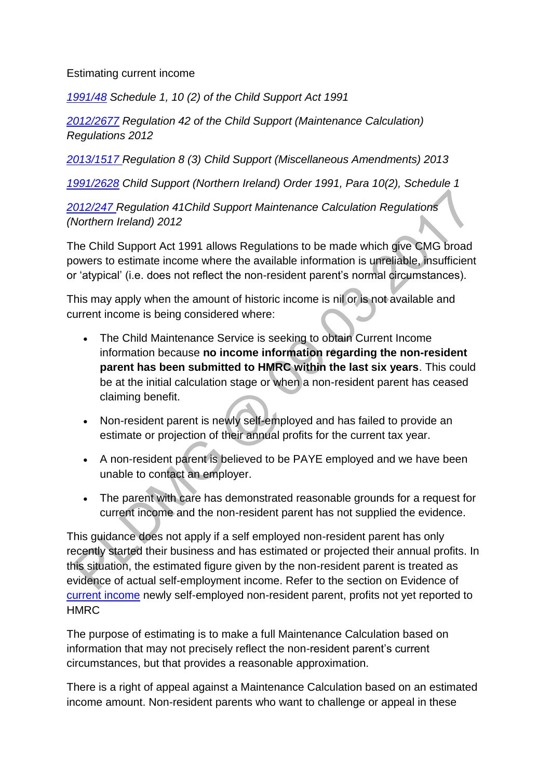#### Estimating current income

*[1991/48](http://www.legislation.gov.uk/ukpga/1991/48) Schedule 1, 10 (2) of the Child Support Act 1991*

*[2012/2677](http://www.legislation.gov.uk/uksi/2012/2677) Regulation 42 of the Child Support (Maintenance Calculation) Regulations 2012*

*[2013/1517 R](http://www.legislation.gov.uk/uksi/2013/1517/contents/made)egulation 8 (3) Child Support (Miscellaneous Amendments) 2013* 

*[1991/2628](http://www.legislation.gov.uk/nisi/1991/2628/contents) Child Support (Northern Ireland) Order 1991, Para 10(2), Schedule 1*

*[2012/247 R](http://www.legislation.gov.uk/nisr/2012/427/contents/made)egulation 41Child Support Maintenance Calculation Regulations (Northern Ireland) 2012*

The Child Support Act 1991 allows Regulations to be made which give CMG broad powers to estimate income where the available information is unreliable, insufficient or 'atypical' (i.e. does not reflect the non-resident parent's normal circumstances).

This may apply when the amount of historic income is nil or is not available and current income is being considered where:

- The Child Maintenance Service is seeking to obtain Current Income information because **no income information regarding the non-resident parent has been submitted to HMRC within the last six years**. This could be at the initial calculation stage or when a non-resident parent has ceased claiming benefit.
- Non-resident parent is newly self-employed and has failed to provide an estimate or projection of their annual profits for the current tax year.
- A non-resident parent is believed to be PAYE employed and we have been unable to contact an employer.
- The parent with care has demonstrated reasonable grounds for a request for current income and the non-resident parent has not supplied the evidence.

This guidance does not apply if a self employed non-resident parent has only recently started their business and has estimated or projected their annual profits. In this situation, the estimated figure given by the non-resident parent is treated as evidence of actual self-employment income. Refer to the section on Evidence of [current income](http://np-cmg-sharepoint.link2.gpn.gov.uk/sites/policy-law-and-decision-making-guidance/Pages/Calculations/General/Current-income-self-employed.aspx) newly self-employed non-resident parent, profits not yet reported to **HMRC** 

The purpose of estimating is to make a full Maintenance Calculation based on information that may not precisely reflect the non-resident parent's current circumstances, but that provides a reasonable approximation.

There is a right of appeal against a Maintenance Calculation based on an estimated income amount. Non-resident parents who want to challenge or appeal in these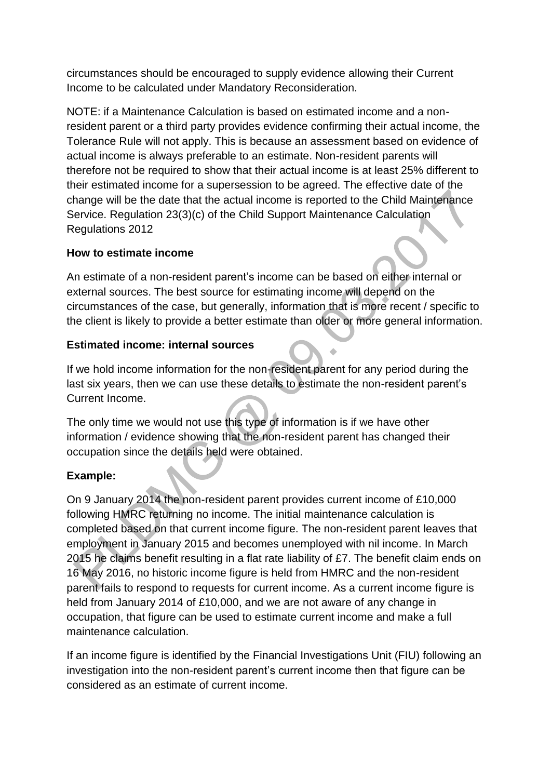circumstances should be encouraged to supply evidence allowing their Current Income to be calculated under Mandatory Reconsideration.

NOTE: if a Maintenance Calculation is based on estimated income and a nonresident parent or a third party provides evidence confirming their actual income, the Tolerance Rule will not apply. This is because an assessment based on evidence of actual income is always preferable to an estimate. Non-resident parents will therefore not be required to show that their actual income is at least 25% different to their estimated income for a supersession to be agreed. The effective date of the change will be the date that the actual income is reported to the Child Maintenance Service. Regulation 23(3)(c) of the Child Support Maintenance Calculation Regulations 2012

#### **How to estimate income**

An estimate of a non-resident parent's income can be based on either internal or external sources. The best source for estimating income will depend on the circumstances of the case, but generally, information that is more recent / specific to the client is likely to provide a better estimate than older or more general information.

#### **Estimated income: internal sources**

If we hold income information for the non-resident parent for any period during the last six years, then we can use these details to estimate the non-resident parent's Current Income.

The only time we would not use this type of information is if we have other information / evidence showing that the non-resident parent has changed their occupation since the details held were obtained.

## **Example:**

On 9 January 2014 the non-resident parent provides current income of £10,000 following HMRC returning no income. The initial maintenance calculation is completed based on that current income figure. The non-resident parent leaves that employment in January 2015 and becomes unemployed with nil income. In March 2015 he claims benefit resulting in a flat rate liability of £7. The benefit claim ends on 16 May 2016, no historic income figure is held from HMRC and the non-resident parent fails to respond to requests for current income. As a current income figure is held from January 2014 of £10,000, and we are not aware of any change in occupation, that figure can be used to estimate current income and make a full maintenance calculation.

If an income figure is identified by the Financial Investigations Unit (FIU) following an investigation into the non-resident parent's current income then that figure can be considered as an estimate of current income.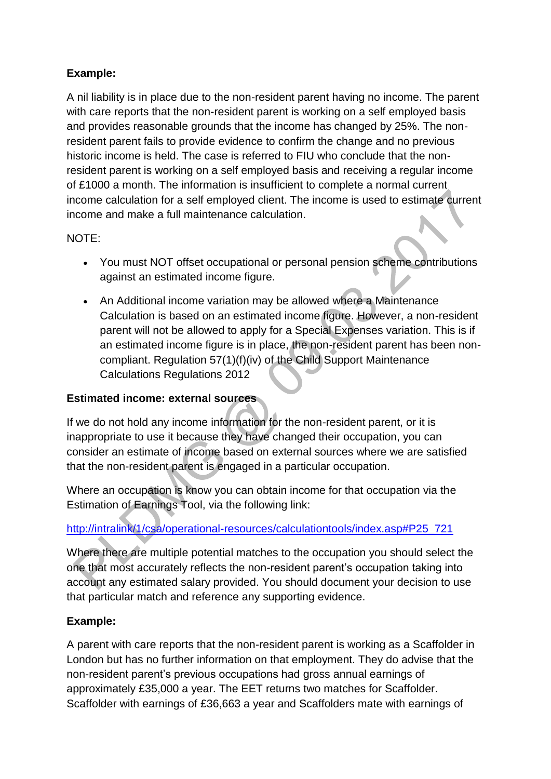# **Example:**

A nil liability is in place due to the non-resident parent having no income. The parent with care reports that the non-resident parent is working on a self employed basis and provides reasonable grounds that the income has changed by 25%. The nonresident parent fails to provide evidence to confirm the change and no previous historic income is held. The case is referred to FIU who conclude that the nonresident parent is working on a self employed basis and receiving a regular income of £1000 a month. The information is insufficient to complete a normal current income calculation for a self employed client. The income is used to estimate current income and make a full maintenance calculation.

## NOTE:

- You must NOT offset occupational or personal pension scheme contributions against an estimated income figure.
- An Additional income variation may be allowed where a Maintenance Calculation is based on an estimated income figure. However, a non-resident parent will not be allowed to apply for a Special Expenses variation. This is if an estimated income figure is in place, the non-resident parent has been noncompliant. Regulation 57(1)(f)(iv) of the Child Support Maintenance Calculations Regulations 2012

## **Estimated income: external sources**

If we do not hold any income information for the non-resident parent, or it is inappropriate to use it because they have changed their occupation, you can consider an estimate of income based on external sources where we are satisfied that the non-resident parent is engaged in a particular occupation.

Where an occupation is know you can obtain income for that occupation via the Estimation of Earnings Tool, via the following link:

## [http://intralink/1/csa/operational-resources/calculationtools/index.asp#P25\\_721](http://intralink/1/csa/operational-resources/calculationtools/index.asp#P25_721)

Where there are multiple potential matches to the occupation you should select the one that most accurately reflects the non-resident parent's occupation taking into account any estimated salary provided. You should document your decision to use that particular match and reference any supporting evidence.

#### **Example:**

A parent with care reports that the non-resident parent is working as a Scaffolder in London but has no further information on that employment. They do advise that the non-resident parent's previous occupations had gross annual earnings of approximately £35,000 a year. The EET returns two matches for Scaffolder. Scaffolder with earnings of £36,663 a year and Scaffolders mate with earnings of